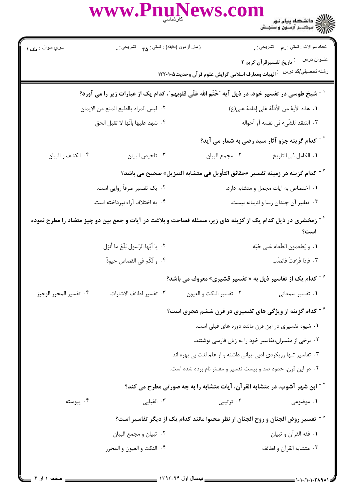|                                                                                                               | WWW.Pnu                                                                                                                 | lews.com                                                                                      |                                                            |
|---------------------------------------------------------------------------------------------------------------|-------------------------------------------------------------------------------------------------------------------------|-----------------------------------------------------------------------------------------------|------------------------------------------------------------|
| سري سوال : پک ۱                                                                                               | زمان أزمون (دقيقه) : تستي : ۴۵ – تشريحي : .                                                                             |                                                                                               | نعداد سوالات : نستي : ۳ <b>.</b><br>.                      |
|                                                                                                               |                                                                                                                         |                                                                                               | عنــوان درس      : تاريخ تفسيرقرآن كريم ٢                  |
|                                                                                                               |                                                                                                                         | رشته تحصبلي/كد درس عبالهيات ومعارف اسلامى گرايش علوم قرآن وحديث١٢٢٠١٠٥                        |                                                            |
| <sup>1 -</sup> شیخ طوسی در تفسیر خود، در ذیل آیه "خَتَم الله عَلَی قلوبهم"، کدام یک از عبارات زیر را می آورد؟ |                                                                                                                         |                                                                                               |                                                            |
| ٢. ليس المراد بالطبع المنع من الايمان                                                                         |                                                                                                                         |                                                                                               | ١. هذه الآية من الأدلّة عَلى إمامهٔ على(ع)                 |
|                                                                                                               | ۴. شهد عليها بأنّها لا تقبل الحق                                                                                        |                                                                                               | ٠٣ التنقد للشَّىء في نفسه أو أحواله                        |
|                                                                                                               |                                                                                                                         |                                                                                               | <sup>۲ -</sup> کدام گزینه جزو آثار سید رضی به شمار می آید؟ |
| ۰۴ الكشف و البيان                                                                                             | ٠٣ تلخيص البيان                                                                                                         | ٠٢ مجمع البيان                                                                                | <b>۱.</b> الكامل في التاريخ                                |
|                                                                                                               |                                                                                                                         | <sup>7 -</sup> كدام گزينه در زمينه تفسير «حقائق التأويل في متشابه التنزيل» صحيح مي باشد؟      |                                                            |
|                                                                                                               | ۰۲ یک تفسیر صرفاً روایی است.                                                                                            |                                                                                               | ٠١ اختصاص به آيات مجمل و متشابه دارد.                      |
|                                                                                                               | ۰۴ به اختلاف آراء نپرداخته است.                                                                                         |                                                                                               | ۰۳ تعابیر آن چندان رسا و ادیبانه نیست.                     |
|                                                                                                               | <sup>۴ -</sup> زمخشری در ذیل کدام یک از گزینه های زیر، مسئله فصاحت و بلاغت در آیات و جمع بین دو چیز متضاد را مطرح نموده |                                                                                               | است؟                                                       |
|                                                                                                               | ٢. يا أيّها الرّسول بَلّغ ما أنزل                                                                                       |                                                                                               | ٠١ و يُطعمون الطّعام عَلى حُبّه                            |
|                                                                                                               | ۴. و لَكُم في القصاص حيوةٌ                                                                                              |                                                                                               | ٠٣ فإذا فَرَغتَ فانصَب                                     |
|                                                                                                               |                                                                                                                         | <sup>۵ -</sup> کدام یک از تفاسیر ذیل به « تفسیر قشیری» معروف می باشد؟                         |                                                            |
| ۰۴ تفسير المحرر الوجيز                                                                                        | ٠٣ تفسير لطائف الاشارات                                                                                                 | ٠٢ تفسير النكت و العيون                                                                       | ٠١ تفسير سمعاني                                            |
|                                                                                                               |                                                                                                                         | <sup>۶ -</sup> کدام گزینه از ویژگی های تفسیری در قرن ششم هجری است؟                            |                                                            |
|                                                                                                               |                                                                                                                         | ٠١ شيوه تفسيري در اين قرن مانند دوره هاي قبلي است.                                            |                                                            |
|                                                                                                               |                                                                                                                         | ۰۲ برخی از مفسران،تفاسیر خود را به زبان فارسی نوشتند.                                         |                                                            |
|                                                                                                               |                                                                                                                         | ۰۳ تفاسیر تنها رویکردی ادبی-بیانی داشته و از علم لغت بی بهره اند.                             |                                                            |
|                                                                                                               |                                                                                                                         | ۰۴ در این قرن، حدود صد و بیست تفسیر و مفسّر نام برده شده است.                                 |                                                            |
|                                                                                                               |                                                                                                                         | ابن شهر آشوب، در متشابه القرآن، آیات متشابه را به چه صورتی مطرح می کند؟ "                     |                                                            |
| ۰۴ پیوسته                                                                                                     | ۰۳ الفبایی                                                                                                              | ۰۲ ترتیبی                                                                                     | ۰۱ موضوعی                                                  |
|                                                                                                               |                                                                                                                         | ^ <sup>- .</sup> تفسیر روض الجنان و روح الجنان از نظر محتوا مانند کدام یک از دیگر تفاسیر است؟ |                                                            |
|                                                                                                               | ۰۲ تبيان و مجمع البيان                                                                                                  |                                                                                               | ٠١. فقه القرآن و تبيان                                     |
|                                                                                                               | ۰۴ النكت و العيون و المحرر                                                                                              |                                                                                               | ۰۳ متشابه القرآن و لطائف                                   |
|                                                                                                               |                                                                                                                         |                                                                                               |                                                            |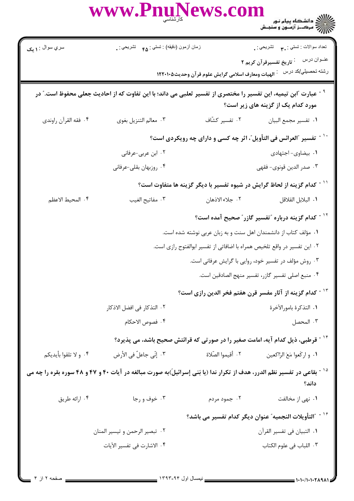|                       | WWW.PnuNews.com                                                                                                                     |                   | ر دانشگاه پیام نور<br>۱۳۸۷ - مرکبز آزمون و سنجش                                                                  |
|-----------------------|-------------------------------------------------------------------------------------------------------------------------------------|-------------------|------------------------------------------------------------------------------------------------------------------|
| سري سوال : ۱ يک       | زمان أزمون (دقيقه) : تستي : ۴۵ — تشريحي : .                                                                                         |                   | تعداد سوالات : تستي : ٣ <b>. س</b> تشريحي : .                                                                    |
|                       |                                                                                                                                     |                   | عنــوان درس ໋ تاريخ تفسيرقرآن كريم ٢<br>رشته تحصبلي/كد در سماه الهيات ومعارف اسلامى گرايش علوم قرآن وحديث١٢٢٠١٠٥ |
|                       | عبارت آابن تیمیه، این تفسیر را مختصری از تفسیر ثعلبی می داند؛ با این تفاوت که از احادیث جعلی محفوظ است." در                         |                   | مورد کدام یک از گزینه های زیر است؟                                                                               |
| ۰۴ فقه القرآن راوندي  | ٠٣ معالم التنزيل بغوى                                                                                                               |                   | ٠١ تفسير مجمع البيان معند ٢٠ تفسير كشّاف                                                                         |
|                       | <sup>-</sup> تفسیر آالعرائس فی التأویل ّ، اثر چه کسی و دارای چه رویکردی است؟                                                        |                   |                                                                                                                  |
|                       | ۰۲ ابن عربی-عرفانی                                                                                                                  |                   | ٠١. بيضاوى- اجتهادى                                                                                              |
|                       | ۰۴ روزبهان بقلي-عرفاني                                                                                                              |                   | ۰۳ صدر الدين قونوي- فقهي                                                                                         |
|                       |                                                                                                                                     |                   | <sup>۱۱ -</sup> کدام گزینه از لحاظ گرایش در شیوه تفسیر با دیگر گزینه ها متفاوت است؟                              |
| ۴. المحيط الاعظم      | ٠٣ مفاتيح الغيب                                                                                                                     | ٢. جلاء الاذهان   | ٠١. البلابل القلاقل                                                                                              |
|                       |                                                                                                                                     |                   | <sup>۱۲ -</sup> کدام گزینه درباره <sup>"</sup> تفسیر گازر <sup>"</sup> صحیح آمده است؟                            |
|                       |                                                                                                                                     |                   | ۰۱ مؤلف کتاب از دانشمندان اهل سنت و به زبان عربی نوشته شده است.                                                  |
|                       |                                                                                                                                     |                   | ۲ . این تفسیر در واقع تلخیص همراه با اضافاتی از تفسیر ابوالفتوح رازی است.                                        |
|                       |                                                                                                                                     |                   | ۰۳ روش مؤلف در تفسیر خود، روایی با گرایش عرفانی است.                                                             |
|                       |                                                                                                                                     |                   | ۰۴ منبع اصلی تفسیر گازر، تفسیر منهج الصادقین است.                                                                |
|                       |                                                                                                                                     |                   | <sup>۱۳ -</sup> كدام گزینه از آثار مفسر قرن هفتم فخر الدین رازی است؟                                             |
|                       | ٢. التذكار في افضل الاذكار                                                                                                          |                   | ٠١ التذكرة بامورالآخرة                                                                                           |
|                       | ۴. فصوص الاحكام                                                                                                                     |                   | ۰۳ المحصل                                                                                                        |
|                       | <sup>۱۴ -</sup> قرطبی، ذیل کدام آیه، امامت صغیر را در صورتی که قرائتش صحیح باشد، می پذیرد؟                                          |                   |                                                                                                                  |
| ۰۴ و لا تلقوا بأيديكم | ٣. إنّي جاعلٌ في الأرض                                                                                                              | ٠٢ أقيموا الصّلاة | ٠١ و اركَعوا مَعَ الرّاكعين                                                                                      |
|                       | <sup>۱۵ -</sup> بقاعی در تفسیر نظم الدرر، هدف از تکرار ندا (یا بَنی إسرائیلَ)به صورت مبالغه در آیات ۴۰ و ۴۷ و ۴۸ سوره بقره را چه می |                   | داند؟                                                                                                            |
| ۰۴ ارائه طريق         | ۰۳ خوف و رجا                                                                                                                        | ۰۲ جمود مردم      | ۰۱ نهی از مخالفت                                                                                                 |
|                       |                                                                                                                                     |                   | <sup>۱۶ -</sup> "التأويلات النجميه" عنوان ديگر كدام تفسير مى باشد؟                                               |
|                       | ۰۲ تبصير الرحمن و تيسير المنان                                                                                                      |                   | ٠١. التبيان في تفسير القرآن                                                                                      |
|                       | ۴. الاشارت في تفسير الآيات                                                                                                          |                   | ٠٣ اللباب في علوم الكتاب                                                                                         |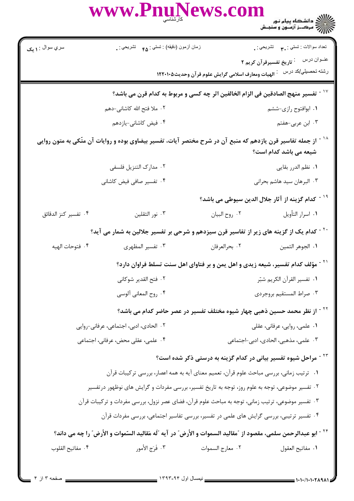|                                                                                                   | WWW.PnuNews.com                                                                                                            |                  |                                                                                                                  |
|---------------------------------------------------------------------------------------------------|----------------------------------------------------------------------------------------------------------------------------|------------------|------------------------------------------------------------------------------------------------------------------|
| سري سوال : ۱ يک                                                                                   | زمان أزمون (دقيقه) : تستى : ۴۵ — تشريحي : .                                                                                |                  | نعداد سوالات : تستبي : ٣. تشريحي : .<br>.                                                                        |
|                                                                                                   |                                                                                                                            |                  | عنــوان درس ໋ تاريخ تفسيرقرآن كريم ٢<br>رشته تحصبلي/كد در سماه الهيات ومعارف اسلامى گرايش علوم قرآن وحديث١٢٢٠١٠٥ |
|                                                                                                   | `` ~ تفسير منهج الصادقين في الزام الخالفين اثر چه كسي و مربوط به كدام قرن مي باشد؟                                         |                  |                                                                                                                  |
|                                                                                                   | ۰۲ ملا فتح الله کاشانی-دهم                                                                                                 |                  | ۰۱ ابوافتوح رازی-ششم                                                                                             |
|                                                                                                   | ۰۴ فیض کاشانی-یازدهم                                                                                                       |                  | ۰۳ ابن عربی-هفتم                                                                                                 |
|                                                                                                   | از جمله تفاسیر قرن یازدهم که منبع آن در شرح مختصر آیات، تفسیر بیضاوی بوده و روایات آن متّکی به متون روایی                  |                  | شیعه می باشد کدام است؟                                                                                           |
|                                                                                                   | ٠٢ مدارك التنزيل فلسفى                                                                                                     |                  | <b>۱</b> . نظم الدرر بقایی                                                                                       |
|                                                                                                   | ۰۴ تفسیر صافی فیض کاشانی                                                                                                   |                  | ۰۳ البرهان سيد هاشم بحراني                                                                                       |
|                                                                                                   |                                                                                                                            |                  | <sup>۱۹ -</sup> كدام گزينه از آثار جلال الدين سيوطي مي باشد؟                                                     |
| ۰۴ تفسير كنز الدقائق                                                                              | ۰۳ نور الثقلين                                                                                                             | ٠٢ روح البيان    | ٠١ اسرار التأويل                                                                                                 |
|                                                                                                   | <sup>۲۰ -</sup> کدام یک از گزینه های زیر از تفاسیر قرن سیزدهم و شرحی بر تفسیر جلالین به شمار می آید؟                       |                  |                                                                                                                  |
| ۰۴ فتوحات الهيه                                                                                   | ۰۳ تفسیر المظهری                                                                                                           | ٠٢ بحرالعرفان    | ٠١. الجوهر الثمين                                                                                                |
|                                                                                                   | <sup>۲۱ -</sup> مؤلف کدام تفسیر، شیعه زیدی و اهل یمن و بر فتاوای اهل سنت تسلط فراوان دارد؟                                 |                  |                                                                                                                  |
|                                                                                                   | ٠٢ فتح القدير شوكاني                                                                                                       |                  | ٠١. تفسير القرآن الكريم شبّر                                                                                     |
|                                                                                                   | ۰۴ روح المعاني آلوسي                                                                                                       |                  | ٠٣ صراط المستقيم بروجردي                                                                                         |
|                                                                                                   | <sup>۲۲ -</sup> از نظر محمد حسین ذهبی چهار شیوه مختلف تفسیر در عصر حاضر کدام می باشد؟                                      |                  |                                                                                                                  |
|                                                                                                   | ٢. الحادي، ادبي، اجتماعي، عرفاني-روايي                                                                                     |                  | ۰۱ علمی، روایی، عرفانی، عقلی                                                                                     |
|                                                                                                   | ۰۴ علمی، عقلی محض، عرفانی، اجتماعی                                                                                         |                  | ۰۳ علمی، مذهبی، الحادی، ادبی-اجتماعی                                                                             |
|                                                                                                   |                                                                                                                            |                  | <sup>۲۳ -</sup> مراحل شیوه تفسیر بیانی در کدام گزینه به درستی ذکر شده است؟                                       |
|                                                                                                   | ۰۱ ترتیب زمانی، بررسی مباحث علوم قرآن، تعمیم معنای آیه به همه اعصار، بررسی ترکیبات قرآن                                    |                  |                                                                                                                  |
|                                                                                                   | ۲ . تفسیر موضوعی، توجه به علوم روز، توجه به تاریخ تفسیر، بررسی مفردات و گرایش های نوظهور درتفسیر                           |                  |                                                                                                                  |
| ۰۳ تفسیر موضوعی، ترتیب زمانی، توجه به مباحث علوم قرآن، فضای عصر نزول، بررسی مفردات و ترکیبات قرآن |                                                                                                                            |                  |                                                                                                                  |
|                                                                                                   | ۰۴ تفسیر ترتیبی، بررسی گرایش های علمی در تفسیر، بررسی تفاسیر اجتماعی، بررسی مفردات قرآن                                    |                  |                                                                                                                  |
|                                                                                                   | <sup>۲۴ -</sup> ابو عبدالرحمن سلمي، مقصود از "مقاليد السموات و الأرض" در آيه "لَه مَقاليد السّموات و الأرض" را چه مي داند؟ |                  |                                                                                                                  |
| ۰۴ مفاتيح القلوب                                                                                  | ٠٣ فَرَجِ الأمور                                                                                                           | ٠٢ معارج السموات | ٠١. مفاتيح العقول                                                                                                |